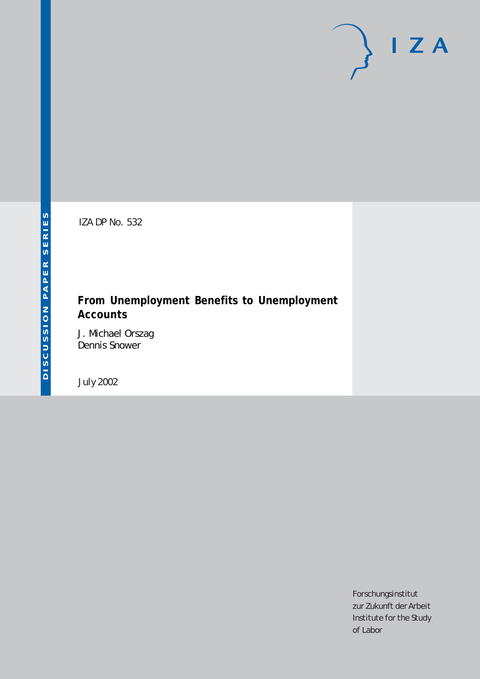# $I Z A$

IZA DP No. 532

# **From Unemployment Benefits to Unemployment Accounts**

J. Michael Orszag Dennis Snower

July 2002

Forschungsinstitut zur Zukunft der Arbeit Institute for the Study of Labor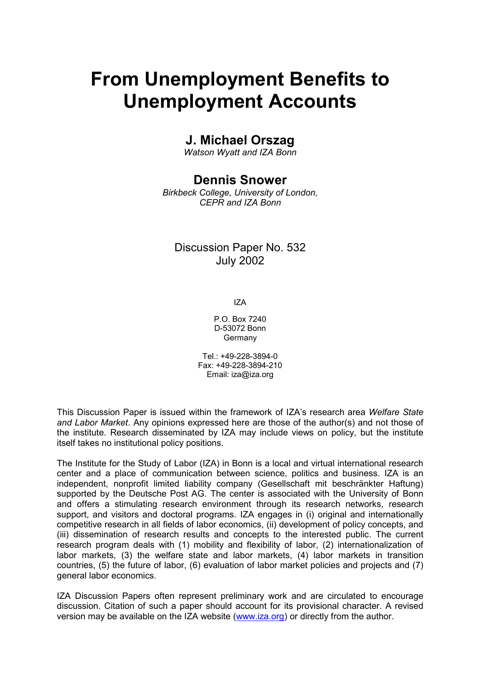# **From Unemployment Benefits to Unemployment Accounts**

# **J. Michael Orszag**

*Watson Wyatt and IZA Bonn* 

# **Dennis Snower**

*Birkbeck College, University of London, CEPR and IZA Bonn*

## Discussion Paper No. 532 July 2002

IZA

P.O. Box 7240 D-53072 Bonn Germany

Tel.: +49-228-3894-0 Fax: +49-228-3894-210 Email: [iza@iza.org](mailto:iza@iza.org)

This Discussion Paper is issued within the framework of IZA's research area *Welfare State and Labor Market*. Any opinions expressed here are those of the author(s) and not those of the institute. Research disseminated by IZA may include views on policy, but the institute itself takes no institutional policy positions.

The Institute for the Study of Labor (IZA) in Bonn is a local and virtual international research center and a place of communication between science, politics and business. IZA is an independent, nonprofit limited liability company (Gesellschaft mit beschränkter Haftung) supported by the Deutsche Post AG. The center is associated with the University of Bonn and offers a stimulating research environment through its research networks, research support, and visitors and doctoral programs. IZA engages in (i) original and internationally competitive research in all fields of labor economics, (ii) development of policy concepts, and (iii) dissemination of research results and concepts to the interested public. The current research program deals with (1) mobility and flexibility of labor, (2) internationalization of labor markets, (3) the welfare state and labor markets, (4) labor markets in transition countries, (5) the future of labor, (6) evaluation of labor market policies and projects and (7) general labor economics.

IZA Discussion Papers often represent preliminary work and are circulated to encourage discussion. Citation of such a paper should account for its provisional character. A revised version may be available on the IZA website ([www.iza.org](http://www.iza.org/)) or directly from the author.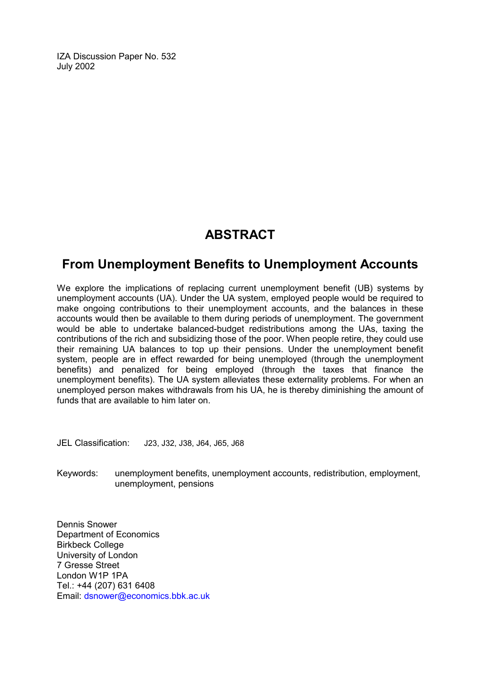IZA Discussion Paper No. 532 July 2002

# **ABSTRACT**

# **From Unemployment Benefits to Unemployment Accounts**

We explore the implications of replacing current unemployment benefit (UB) systems by unemployment accounts (UA). Under the UA system, employed people would be required to make ongoing contributions to their unemployment accounts, and the balances in these accounts would then be available to them during periods of unemployment. The government would be able to undertake balanced-budget redistributions among the UAs, taxing the contributions of the rich and subsidizing those of the poor. When people retire, they could use their remaining UA balances to top up their pensions. Under the unemployment benefit system, people are in effect rewarded for being unemployed (through the unemployment benefits) and penalized for being employed (through the taxes that finance the unemployment benefits). The UA system alleviates these externality problems. For when an unemployed person makes withdrawals from his UA, he is thereby diminishing the amount of funds that are available to him later on.

JEL Classification: J23, J32, J38, J64, J65, J68

Keywords: unemployment benefits, unemployment accounts, redistribution, employment, unemployment, pensions

Dennis Snower Department of Economics Birkbeck College University of London 7 Gresse Street London W1P 1PA Tel.: +44 (207) 631 6408 Email: [dsnower@economics.bbk.ac.uk](mailto:dsnower@economics.bbk.ac.uk)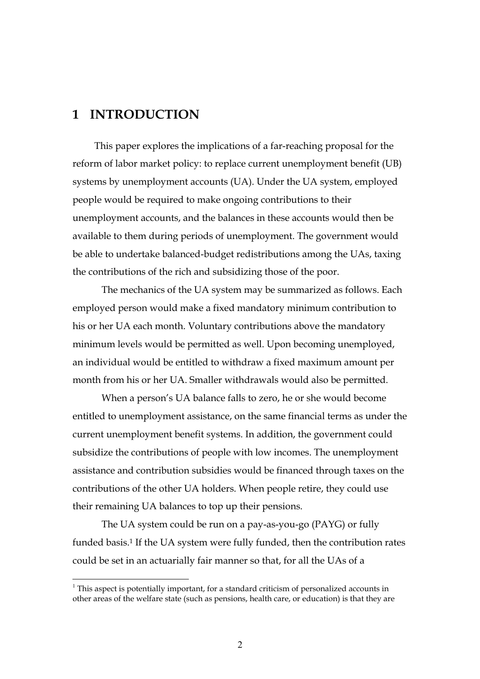## **1 INTRODUCTION**

 $\overline{a}$ 

This paper explores the implications of a far-reaching proposal for the reform of labor market policy: to replace current unemployment benefit (UB) systems by unemployment accounts (UA). Under the UA system, employed people would be required to make ongoing contributions to their unemployment accounts, and the balances in these accounts would then be available to them during periods of unemployment. The government would be able to undertake balanced-budget redistributions among the UAs, taxing the contributions of the rich and subsidizing those of the poor.

The mechanics of the UA system may be summarized as follows. Each employed person would make a fixed mandatory minimum contribution to his or her UA each month. Voluntary contributions above the mandatory minimum levels would be permitted as well. Upon becoming unemployed, an individual would be entitled to withdraw a fixed maximum amount per month from his or her UA. Smaller withdrawals would also be permitted.

When a person's UA balance falls to zero, he or she would become entitled to unemployment assistance, on the same financial terms as under the current unemployment benefit systems. In addition, the government could subsidize the contributions of people with low incomes. The unemployment assistance and contribution subsidies would be financed through taxes on the contributions of the other UA holders. When people retire, they could use their remaining UA balances to top up their pensions.

The UA system could be run on a pay-as-you-go (PAYG) or fully funded basis.<sup>1</sup> If the UA system were fully funded, then the contribution rates could be set in an actuarially fair manner so that, for all the UAs of a

 $1$ <sup>1</sup> This aspect is potentially important, for a standard criticism of personalized accounts in other areas of the welfare state (such as pensions, health care, or education) is that they are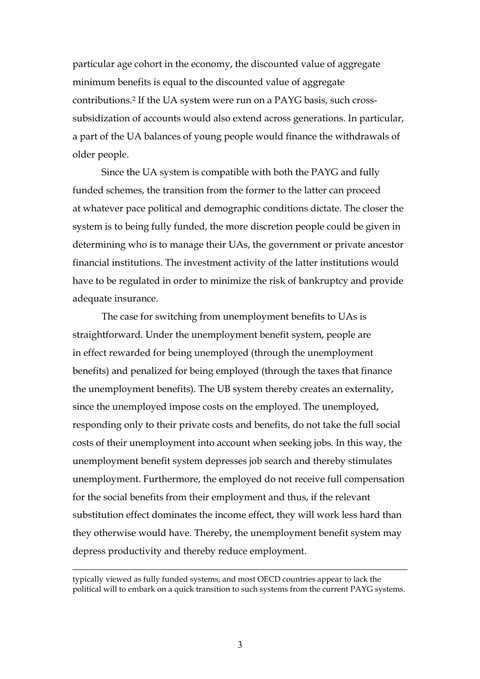particular age cohort in the economy, the discounted value of aggregate minimum benefits is equal to the discounted value of aggregate contributions.2 If the UA system were run on a PAYG basis, such crosssubsidization of accounts would also extend across generations. In particular, a part of the UA balances of young people would finance the withdrawals of older people.

Since the UA system is compatible with both the PAYG and fully funded schemes, the transition from the former to the latter can proceed at whatever pace political and demographic conditions dictate. The closer the system is to being fully funded, the more discretion people could be given in determining who is to manage their UAs, the government or private ancestor financial institutions. The investment activity of the latter institutions would have to be regulated in order to minimize the risk of bankruptcy and provide adequate insurance.

The case for switching from unemployment benefits to UAs is straightforward. Under the unemployment benefit system, people are in effect rewarded for being unemployed (through the unemployment benefits) and penalized for being employed (through the taxes that finance the unemployment benefits). The UB system thereby creates an externality, since the unemployed impose costs on the employed. The unemployed, responding only to their private costs and benefits, do not take the full social costs of their unemployment into account when seeking jobs. In this way, the unemployment benefit system depresses job search and thereby stimulates unemployment. Furthermore, the employed do not receive full compensation for the social benefits from their employment and thus, if the relevant substitution effect dominates the income effect, they will work less hard than they otherwise would have. Thereby, the unemployment benefit system may depress productivity and thereby reduce employment.

typically viewed as fully funded systems, and most OECD countries appear to lack the political will to embark on a quick transition to such systems from the current PAYG systems.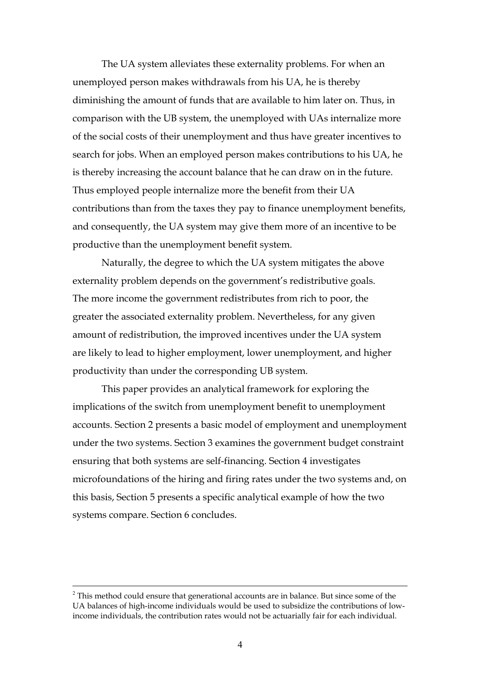The UA system alleviates these externality problems. For when an unemployed person makes withdrawals from his UA, he is thereby diminishing the amount of funds that are available to him later on. Thus, in comparison with the UB system, the unemployed with UAs internalize more of the social costs of their unemployment and thus have greater incentives to search for jobs. When an employed person makes contributions to his UA, he is thereby increasing the account balance that he can draw on in the future. Thus employed people internalize more the benefit from their UA contributions than from the taxes they pay to finance unemployment benefits, and consequently, the UA system may give them more of an incentive to be productive than the unemployment benefit system.

Naturally, the degree to which the UA system mitigates the above externality problem depends on the government's redistributive goals. The more income the government redistributes from rich to poor, the greater the associated externality problem. Nevertheless, for any given amount of redistribution, the improved incentives under the UA system are likely to lead to higher employment, lower unemployment, and higher productivity than under the corresponding UB system.

This paper provides an analytical framework for exploring the implications of the switch from unemployment benefit to unemployment accounts. Section 2 presents a basic model of employment and unemployment under the two systems. Section 3 examines the government budget constraint ensuring that both systems are self-financing. Section 4 investigates microfoundations of the hiring and firing rates under the two systems and, on this basis, Section 5 presents a specific analytical example of how the two systems compare. Section 6 concludes.

 $2$  This method could ensure that generational accounts are in balance. But since some of the UA balances of high-income individuals would be used to subsidize the contributions of lowincome individuals, the contribution rates would not be actuarially fair for each individual.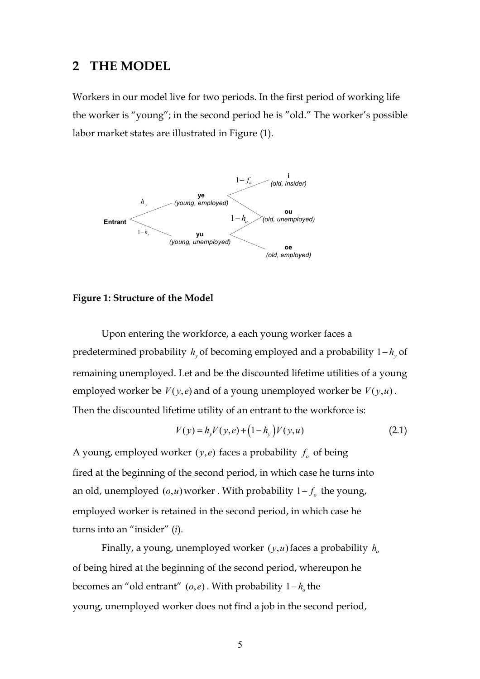#### **2 THE MODEL**

Workers in our model live for two periods. In the first period of working life the worker is "young"; in the second period he is "old." The worker's possible labor market states are illustrated in Figure (1).



#### **Figure 1: Structure of the Model**

Upon entering the workforce, a each young worker faces a predetermined probability  $h<sub>v</sub>$  of becoming employed and a probability  $1-h<sub>v</sub>$  of remaining unemployed. Let and be the discounted lifetime utilities of a young employed worker be  $V(y, e)$  and of a young unemployed worker be  $V(y, u)$ . Then the discounted lifetime utility of an entrant to the workforce is:

$$
V(y) = h_y V(y, e) + (1 - h_y)V(y, u)
$$
\n(2.1)

A young, employed worker  $(y,e)$  faces a probability  $f<sub>o</sub>$  of being fired at the beginning of the second period, in which case he turns into an old, unemployed  $(o, u)$  worker. With probability  $1 - f_o$  the young, employed worker is retained in the second period, in which case he turns into an "insider" (*i*).

Finally, a young, unemployed worker  $(y, u)$  faces a probability  $h_0$ of being hired at the beginning of the second period, whereupon he becomes an "old entrant"  $(o,e)$ . With probability  $1-h<sub>a</sub>$  the young, unemployed worker does not find a job in the second period,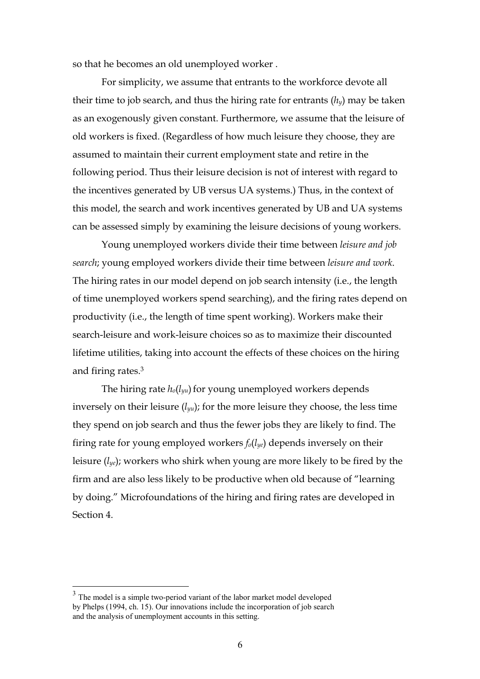so that he becomes an old unemployed worker .

 For simplicity, we assume that entrants to the workforce devote all their time to job search, and thus the hiring rate for entrants  $(h<sub>v</sub>)$  may be taken as an exogenously given constant. Furthermore, we assume that the leisure of old workers is fixed. (Regardless of how much leisure they choose, they are assumed to maintain their current employment state and retire in the following period. Thus their leisure decision is not of interest with regard to the incentives generated by UB versus UA systems.) Thus, in the context of this model, the search and work incentives generated by UB and UA systems can be assessed simply by examining the leisure decisions of young workers.

Young unemployed workers divide their time between *leisure and job search*; young employed workers divide their time between *leisure and work*. The hiring rates in our model depend on job search intensity (i.e., the length of time unemployed workers spend searching), and the firing rates depend on productivity (i.e., the length of time spent working). Workers make their search-leisure and work-leisure choices so as to maximize their discounted lifetime utilities, taking into account the effects of these choices on the hiring and firing rates.3

The hiring rate *ho*(*lyu*) for young unemployed workers depends inversely on their leisure (*lyu*); for the more leisure they choose, the less time they spend on job search and thus the fewer jobs they are likely to find. The firing rate for young employed workers *fo*(*lye*) depends inversely on their leisure (*lye*); workers who shirk when young are more likely to be fired by the firm and are also less likely to be productive when old because of "learning by doing." Microfoundations of the hiring and firing rates are developed in Section 4.

 $3<sup>3</sup>$  The model is a simple two-period variant of the labor market model developed by Phelps (1994, ch. 15). Our innovations include the incorporation of job search and the analysis of unemployment accounts in this setting.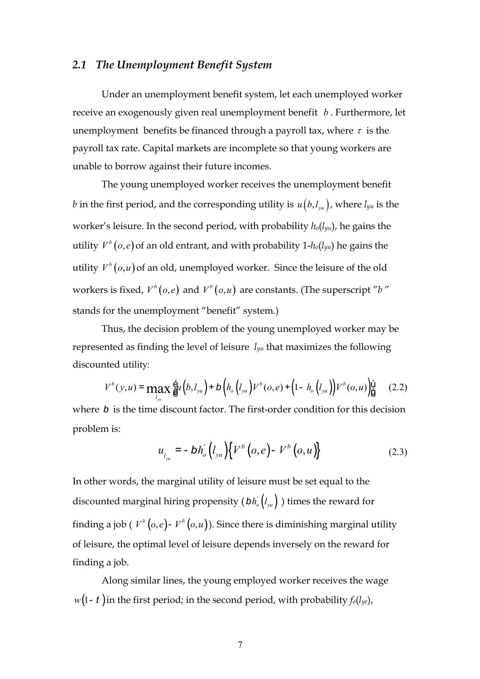#### *2.1 The Unemployment Benefit System*

Under an unemployment benefit system, let each unemployed worker receive an exogenously given real unemployment benefit *b* . Furthermore, let unemployment benefits be financed through a payroll tax, where  $\tau$  is the payroll tax rate. Capital markets are incomplete so that young workers are unable to borrow against their future incomes.

The young unemployed worker receives the unemployment benefit *b* in the first period, and the corresponding utility is  $u(b, l_{yu})$ , where  $l_{yu}$  is the worker's leisure. In the second period, with probability *ho*(*lyu*), he gains the utility  $V^b(o,e)$  of an old entrant, and with probability 1- $h_o(l_{yu})$  he gains the utility  $V^b(o, u)$  of an old, unemployed worker. Since the leisure of the old workers is fixed,  $V^b(o,e)$  and  $V^b(o,u)$  are constants. (The superscript "b" stands for the unemployment "benefit" system.)

Thus, the decision problem of the young unemployed worker may be represented as finding the level of leisure *lyu* that maximizes the following discounted utility:

$$
V^{b}(y, u) = \max_{l_{yu}} \frac{6}{6} u(l, l_{yu}) + b(l, l_{yu}) V^{b}(o, e) + (1 - h_{o}(l_{yu})) V^{b}(o, u) \tag{2.2}
$$

where *b* is the time discount factor. The first-order condition for this decision problem is:

$$
u_{l_{yu}} = -bh_o \left( l_{yu} \right) \left\{ V^b \left( o, e \right) - V^b \left( o, u \right) \right\}
$$
 (2.3)

In other words, the marginal utility of leisure must be set equal to the discounted marginal hiring propensity  $(bh_o' (l_{yu}))$  times the reward for finding a job ( $V^b$  (*o*, *e*) -  $V^b$  (*o*, *u*)). Since there is diminishing marginal utility of leisure, the optimal level of leisure depends inversely on the reward for finding a job.

Along similar lines, the young employed worker receives the wage *w*(1- *t* )in the first period; in the second period, with probability *fo*(*lye*),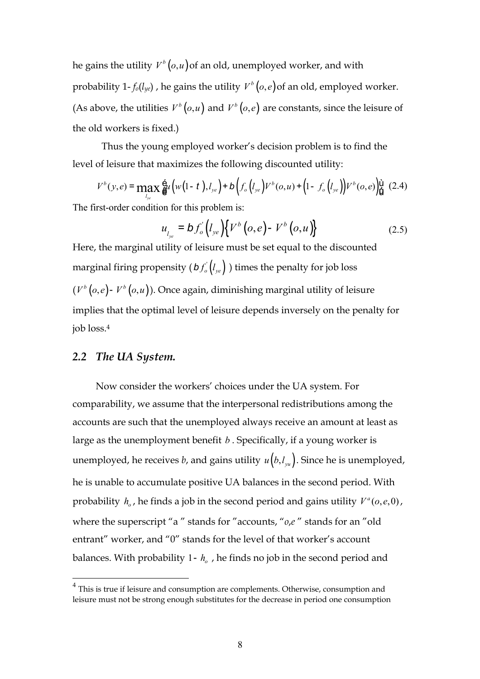he gains the utility  $V^b(o, u)$  of an old, unemployed worker, and with probability 1- $f_0(l_{ye})$ , he gains the utility  $V^b(o,e)$  of an old, employed worker. (As above, the utilities  $V^b(o, u)$  and  $V^b(o, e)$  are constants, since the leisure of the old workers is fixed.)

Thus the young employed worker's decision problem is to find the level of leisure that maximizes the following discounted utility:

$$
V^{b}(y,e) = \max_{l_{ye}} \hat{g}_{l}(w(1-t),l_{ye}) + b(f_{o}(l_{ye})V^{b}(o,u) + (1-f_{o}(l_{ye}))V^{b}(o,e))\hat{g}(2.4)
$$

The first-order condition for this problem is:

$$
u_{l_{ye}} = b f_o' \left( l_{ye} \right) \left\{ V^b \left( o, e \right) - V^b \left( o, u \right) \right\} \tag{2.5}
$$

Here, the marginal utility of leisure must be set equal to the discounted marginal firing propensity  $(bf'_o \vert l_{ve})$  times the penalty for job loss  $(V<sup>b</sup>(o,e) - V<sup>b</sup>(o,u))$ . Once again, diminishing marginal utility of leisure implies that the optimal level of leisure depends inversely on the penalty for job loss.4

#### *2.2 The UA System.*

 $\overline{a}$ 

Now consider the workers' choices under the UA system. For comparability, we assume that the interpersonal redistributions among the accounts are such that the unemployed always receive an amount at least as large as the unemployment benefit *b* . Specifically, if a young worker is unemployed, he receives *b*, and gains utility  $u(b, l_{yu})$ . Since he is unemployed, he is unable to accumulate positive UA balances in the second period. With probability  $h_o$ , he finds a job in the second period and gains utility  $V^a(o, e, 0)$ , where the superscript "a " stands for "accounts, "*o*,*e* " stands for an "old entrant" worker, and "0" stands for the level of that worker's account balances. With probability 1-  $h_o$ , he finds no job in the second period and

<sup>&</sup>lt;sup>4</sup> This is true if leisure and consumption are complements. Otherwise, consumption and leisure must not be strong enough substitutes for the decrease in period one consumption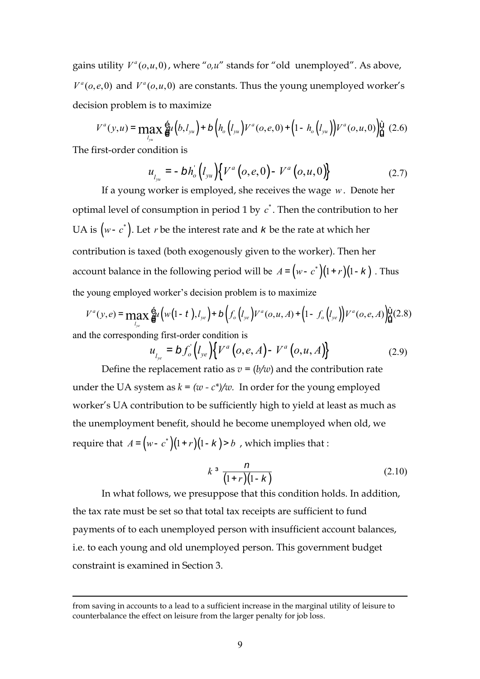gains utility  $V^a$ ( $o, u, 0$ ), where " $o, u$ " stands for "old unemployed". As above,  $V^a(o, e, 0)$  and  $V^a(o, u, 0)$  are constants. Thus the young unemployed worker's decision problem is to maximize

$$
V^{a}(y,u) = \max_{l_{yu}} \hat{g}_{l}(b,l_{yu}) + b\left(h_{o}(l_{yu})V^{a}(o,e,0) + (1-h_{o}(l_{yu}))V^{a}(o,u,0)\right) \stackrel{\text{(i)}}{\text{(l)}} (2.6)
$$

The first-order condition is

 $\overline{a}$ 

$$
u_{l_{yu}} = -bh_o' \left( l_{yu} \right) \left\{ V^a \left( o, e, 0 \right) - V^a \left( o, u, 0 \right) \right\}
$$
 (2.7)

If a young worker is employed, she receives the wage *w*. Denote her optimal level of consumption in period 1 by  $c^*$ . Then the contribution to her UA is  $(w - c^*)$ . Let *r* be the interest rate and *k* be the rate at which her contribution is taxed (both exogenously given to the worker). Then her account balance in the following period will be  $A = ( w - c^* ) ( 1 + r ) ( 1 - k )$ . Thus the young employed worker's decision problem is to maximize

$$
V^{a}(y, e) = \max_{l_{ye}} \frac{6}{6} \ell \left( w(1-t), l_{ye} \right) + b \left( f_{o} \left( l_{ye} \right) V^{a}(o, u, A) + \left( 1 - f_{o} \left( l_{ye} \right) \right) V^{a}(o, e, A) \right) \frac{v}{d} (2.8)
$$
  
and the corresponding first-order condition is

$$
u_{l_{ye}} = b f_o^{'}(l_{ye}) \{ V^a (o, e, A) - V^a (o, u, A) \}
$$
 (2.9)

Define the replacement ratio as  $v = (b/w)$  and the contribution rate under the UA system as  $k = (w - c^*)/w$ . In order for the young employed worker's UA contribution to be sufficiently high to yield at least as much as the unemployment benefit, should he become unemployed when old, we require that  $A = ( w - c^*) (1 + r) (1 - k ) > b$ , which implies that :

$$
k^3 \frac{n}{(1+r)(1-k)}
$$
 (2.10)

In what follows, we presuppose that this condition holds. In addition, the tax rate must be set so that total tax receipts are sufficient to fund payments of to each unemployed person with insufficient account balances, i.e. to each young and old unemployed person. This government budget constraint is examined in Section 3.

from saving in accounts to a lead to a sufficient increase in the marginal utility of leisure to counterbalance the effect on leisure from the larger penalty for job loss.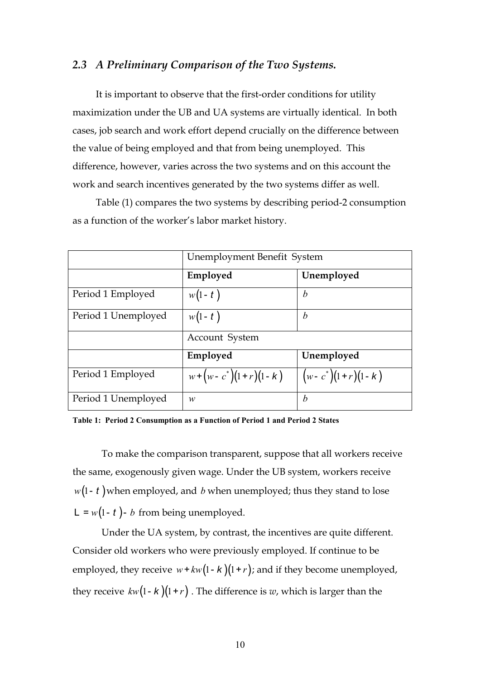#### *2.3 A Preliminary Comparison of the Two Systems.*

It is important to observe that the first-order conditions for utility maximization under the UB and UA systems are virtually identical. In both cases, job search and work effort depend crucially on the difference between the value of being employed and that from being unemployed. This difference, however, varies across the two systems and on this account the work and search incentives generated by the two systems differ as well.

Table (1) compares the two systems by describing period-2 consumption as a function of the worker's labor market history.

|                     | Unemployment Benefit System |                           |  |
|---------------------|-----------------------------|---------------------------|--|
|                     | Employed                    | Unemployed                |  |
| Period 1 Employed   | $w(1-t)$                    | b                         |  |
| Period 1 Unemployed | $w(1-t)$                    | b                         |  |
|                     | Account System              |                           |  |
|                     | Employed                    | Unemployed                |  |
| Period 1 Employed   | $w + (w - c^*)(1+r)(1-k)$   | $(w - c^*) (1+r) (1 - k)$ |  |
| Period 1 Unemployed | w                           | b                         |  |

**Table 1: Period 2 Consumption as a Function of Period 1 and Period 2 States** 

To make the comparison transparent, suppose that all workers receive the same, exogenously given wage. Under the UB system, workers receive  $w(1 - t)$  when employed, and *b* when unemployed; thus they stand to lose  $L = w(1 - t) - b$  from being unemployed.

Under the UA system, by contrast, the incentives are quite different. Consider old workers who were previously employed. If continue to be employed, they receive  $w + kw(1 - k)(1 + r)$ ; and if they become unemployed, they receive  $kw(1 - k)(1 + r)$ . The difference is *w*, which is larger than the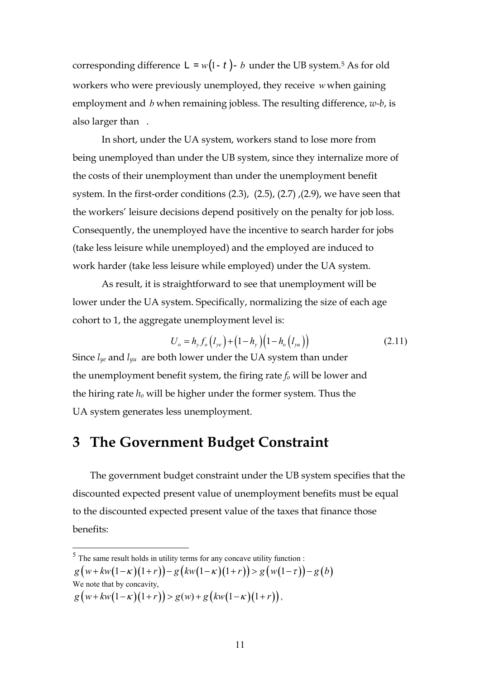corresponding difference  $L = w(1 - t) - b$  under the UB system.<sup>5</sup> As for old workers who were previously unemployed, they receive *w* when gaining employment and *b* when remaining jobless. The resulting difference, *w-b*, is also larger than .

In short, under the UA system, workers stand to lose more from being unemployed than under the UB system, since they internalize more of the costs of their unemployment than under the unemployment benefit system. In the first-order conditions (2.3), (2.5), (2.7) ,(2.9), we have seen that the workers' leisure decisions depend positively on the penalty for job loss. Consequently, the unemployed have the incentive to search harder for jobs (take less leisure while unemployed) and the employed are induced to work harder (take less leisure while employed) under the UA system.

As result, it is straightforward to see that unemployment will be lower under the UA system. Specifically, normalizing the size of each age cohort to 1, the aggregate unemployment level is:

$$
U_o = h_y f_o (l_{ye}) + (1 - h_y)(1 - h_o (l_{yu}))
$$
\n(2.11)

Since  $l_{ye}$  and  $l_{yu}$  are both lower under the UA system than under the unemployment benefit system, the firing rate  $f<sub>o</sub>$  will be lower and the hiring rate *ho* will be higher under the former system. Thus the UA system generates less unemployment.

# **3 The Government Budget Constraint**

The government budget constraint under the UB system specifies that the discounted expected present value of unemployment benefits must be equal to the discounted expected present value of the taxes that finance those benefits:

We note that by concavity,

 $5$  The same result holds in utility terms for any concave utility function :

 $g(w+kw(1-\kappa)(1+r)) - g(kw(1-\kappa)(1+r)) > g(w(1-\tau)) - g(b)$ 

 $g(w+kw(1-\kappa)(1+r)) > g(w) + g(kw(1-\kappa)(1+r)),$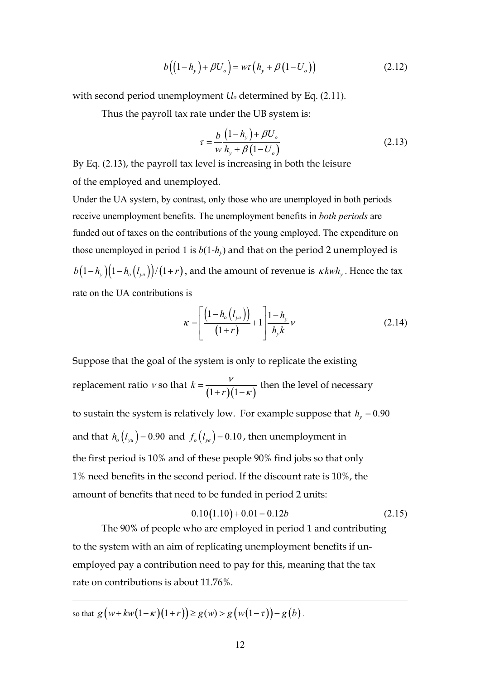$$
b\left(\left(1-h_y\right)+\beta U_o\right)=w\tau\left(h_y+\beta\left(1-U_o\right)\right) \tag{2.12}
$$

with second period unemployment *Uo* determined by Eq. (2.11).

Thus the payroll tax rate under the UB system is:

$$
\tau = \frac{b}{w} \frac{(1 - h_y) + \beta U_o}{h_y + \beta (1 - U_o)}
$$
(2.13)

By Eq. (2.13), the payroll tax level is increasing in both the leisure of the employed and unemployed.

Under the UA system, by contrast, only those who are unemployed in both periods receive unemployment benefits. The unemployment benefits in *both periods* are funded out of taxes on the contributions of the young employed. The expenditure on those unemployed in period 1 is  $b(1-h_y)$  and that on the period 2 unemployed is  $b(1-h_y)(1-h_o(l_{yu}))/(1+r)$ , and the amount of revenue is  $\kappa kwh_y$ . Hence the tax rate on the UA contributions is

$$
\kappa = \left[ \frac{\left(1 - h_o(l_{yu})\right)}{\left(1 + r\right)} + 1 \right] \frac{1 - h_y}{h_y k} \nu \tag{2.14}
$$

Suppose that the goal of the system is only to replicate the existing replacement ratio  $v$  so that  $k = \frac{v}{(1+r)(1-\kappa)}$ *k r*  $\overline{\nu}$  $=\frac{v}{(1+r)(1-\kappa)}$  then the level of necessary to sustain the system is relatively low. For example suppose that  $h_y = 0.90$ and that  $h_o(l_{yu}) = 0.90$  and  $f_o(l_{ye}) = 0.10$ , then unemployment in the first period is 10% and of these people 90% find jobs so that only 1% need benefits in the second period. If the discount rate is 10%, the amount of benefits that need to be funded in period 2 units:

$$
0.10(1.10) + 0.01 = 0.12b \tag{2.15}
$$

 The 90% of people who are employed in period 1 and contributing to the system with an aim of replicating unemployment benefits if unemployed pay a contribution need to pay for this, meaning that the tax rate on contributions is about 11.76%.

so that  $g(w+kw(1-\kappa)(1+r)) \ge g(w) > g(w(1-\tau)) - g(b)$ .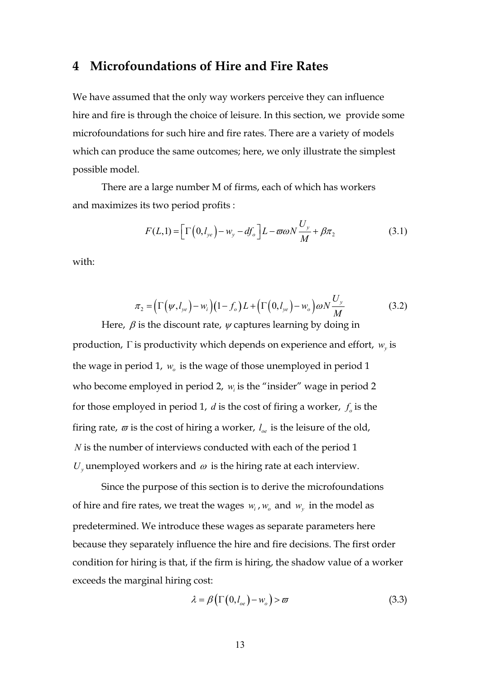#### **4 Microfoundations of Hire and Fire Rates**

We have assumed that the only way workers perceive they can influence hire and fire is through the choice of leisure. In this section, we provide some microfoundations for such hire and fire rates. There are a variety of models which can produce the same outcomes; here, we only illustrate the simplest possible model.

There are a large number M of firms, each of which has workers and maximizes its two period profits :

$$
F(L,1) = \left[\Gamma\left(0,l_{ye}\right) - w_y - df_o\right]L - \varpi \omega N \frac{U_y}{M} + \beta \pi_2 \tag{3.1}
$$

with:

$$
\pi_2 = \left(\Gamma\left(\psi, l_{ye}\right) - w_i\right) \left(1 - f_o\right) L + \left(\Gamma\left(0, l_{ye}\right) - w_o\right) \omega N \frac{U_y}{M} \tag{3.2}
$$

Here,  $\beta$  is the discount rate,  $\psi$  captures learning by doing in production,  $\Gamma$  is productivity which depends on experience and effort,  $w_{\nu}$  is the wage in period 1,  $w_a$  is the wage of those unemployed in period 1 who become employed in period 2,  $w_i$  is the "insider" wage in period 2 for those employed in period 1,  $d$  is the cost of firing a worker,  $f<sub>o</sub>$  is the firing rate,  $\varpi$  is the cost of hiring a worker,  $l_{\alpha}$  is the leisure of the old, *N* is the number of interviews conducted with each of the period 1  $U_{\nu}$  unemployed workers and  $\omega$  is the hiring rate at each interview.

Since the purpose of this section is to derive the microfoundations of hire and fire rates, we treat the wages  $w_i$ ,  $w_o$  and  $w_v$  in the model as predetermined. We introduce these wages as separate parameters here because they separately influence the hire and fire decisions. The first order condition for hiring is that, if the firm is hiring, the shadow value of a worker exceeds the marginal hiring cost:

$$
\lambda = \beta \left( \Gamma \left( 0, l_{oe} \right) - w_o \right) > \varpi \tag{3.3}
$$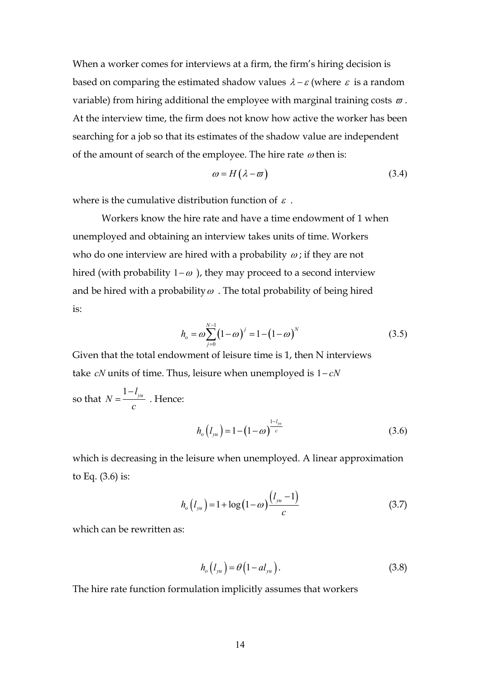When a worker comes for interviews at a firm, the firm's hiring decision is based on comparing the estimated shadow values  $\lambda - \varepsilon$  (where  $\varepsilon$  is a random variable) from hiring additional the employee with marginal training costs  $\varpi$ . At the interview time, the firm does not know how active the worker has been searching for a job so that its estimates of the shadow value are independent of the amount of search of the employee. The hire rate  $\omega$  then is:

$$
\omega = H(\lambda - \varpi) \tag{3.4}
$$

where is the cumulative distribution function of  $\varepsilon$ .

Workers know the hire rate and have a time endowment of 1 when unemployed and obtaining an interview takes units of time. Workers who do one interview are hired with a probability  $\omega$ ; if they are not hired (with probability  $1-\omega$ ), they may proceed to a second interview and be hired with a probability  $\omega$ . The total probability of being hired is:

$$
h_o = \omega \sum_{j=0}^{N-1} (1 - \omega)^j = 1 - (1 - \omega)^N
$$
 (3.5)

Given that the total endowment of leisure time is 1, then N interviews take  $cN$  units of time. Thus, leisure when unemployed is  $1 - cN$ 

so that  $N = \frac{1 - l_{yu}}{l}$ *c*  $=\frac{1-l_{yu}}{l}$ . Hence:

$$
h_o(l_{yu}) = 1 - (1 - \omega)^{\frac{1 - l_{yu}}{c}}
$$
\n(3.6)

which is decreasing in the leisure when unemployed. A linear approximation to Eq. (3.6) is:

$$
h_o(l_{yu}) = 1 + \log(1 - \omega) \frac{(l_{yu} - 1)}{c}
$$
 (3.7)

which can be rewritten as:

$$
h_o(l_{yu}) = \theta(1 - a l_{yu}). \qquad (3.8)
$$

The hire rate function formulation implicitly assumes that workers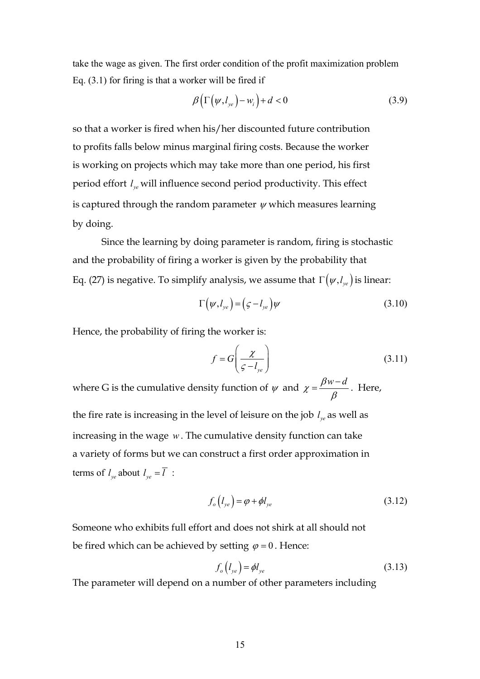take the wage as given. The first order condition of the profit maximization problem Eq. (3.1) for firing is that a worker will be fired if

$$
\beta\big(\Gamma\big(\psi,l_{ye}\big)-w_i\big)+d<0\tag{3.9}
$$

so that a worker is fired when his/her discounted future contribution to profits falls below minus marginal firing costs. Because the worker is working on projects which may take more than one period, his first period effort *ye l* will influence second period productivity. This effect is captured through the random parameter  $\psi$  which measures learning by doing.

Since the learning by doing parameter is random, firing is stochastic and the probability of firing a worker is given by the probability that Eq. (27) is negative. To simplify analysis, we assume that  $\Gamma\big(\psi, l_{ye}\big)$  is linear:

$$
\Gamma(\psi, l_{ye}) = (\varsigma - l_{ye})\psi \tag{3.10}
$$

Hence, the probability of firing the worker is:

$$
f = G\left(\frac{\chi}{\varsigma - l_{ye}}\right) \tag{3.11}
$$

where G is the cumulative density function of  $\psi$  and  $\chi = \frac{\beta w - d}{\beta w}$  $\chi = \frac{\rho w}{\beta}$  $=\frac{\beta w-d}{2}$ . Here, the fire rate is increasing in the level of leisure on the job  $l_{ve}$  as well as

increasing in the wage *w*. The cumulative density function can take a variety of forms but we can construct a first order approximation in terms of  $l_{ve}$  about  $l_{ve} = \overline{l}$  :

$$
f_o(l_{ye}) = \varphi + \phi l_{ye}
$$
 (3.12)

Someone who exhibits full effort and does not shirk at all should not be fired which can be achieved by setting  $\varphi = 0$ . Hence:

$$
f_o(l_{ye}) = \phi l_{ye}
$$
\n(3.13)

The parameter will depend on a number of other parameters including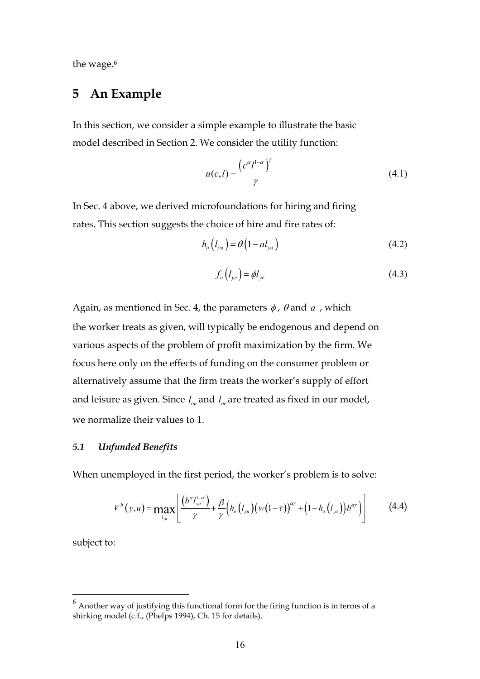the wage.<sup>6</sup>

## **5 An Example**

In this section, we consider a simple example to illustrate the basic model described in Section 2. We consider the utility function:

$$
u(c,l) = \frac{\left(c^{\alpha}l^{1-\alpha}\right)^{\gamma}}{\gamma}
$$
\n(4.1)

In Sec. 4 above, we derived microfoundations for hiring and firing rates. This section suggests the choice of hire and fire rates of:

$$
h_o(l_{yu}) = \theta(1 - a l_{yu})
$$
\n(4.2)

$$
f_o(l_{ye}) = \phi l_{ye}
$$
\n(4.3)

Again, as mentioned in Sec. 4, the parameters  $\phi$ ,  $\theta$  and  $\alpha$ , which the worker treats as given, will typically be endogenous and depend on various aspects of the problem of profit maximization by the firm. We focus here only on the effects of funding on the consumer problem or alternatively assume that the firm treats the worker's supply of effort and leisure as given. Since  $l_{ou}$  and  $l_{oe}$  are treated as fixed in our model, we normalize their values to 1.

#### *5.1 Unfunded Benefits*

When unemployed in the first period, the worker's problem is to solve:

$$
V^{b}(y, u) = \max_{l_{yu}} \left[ \frac{\left(b^{\alpha} l_{yu}^{1-\alpha}\right)}{\gamma} + \frac{\beta}{\gamma} \left(h_{o}\left(l_{yu}\right)\left(w(1-\tau)\right)^{\alpha\gamma} + \left(1-h_{o}\left(l_{yu}\right)\right)b^{\alpha\gamma}\right)\right]
$$
(4.4)

subject to:

 $6$  Another way of justifying this functional form for the firing function is in terms of a shirking model (c.f., (Phelps 1994), Ch. 15 for details).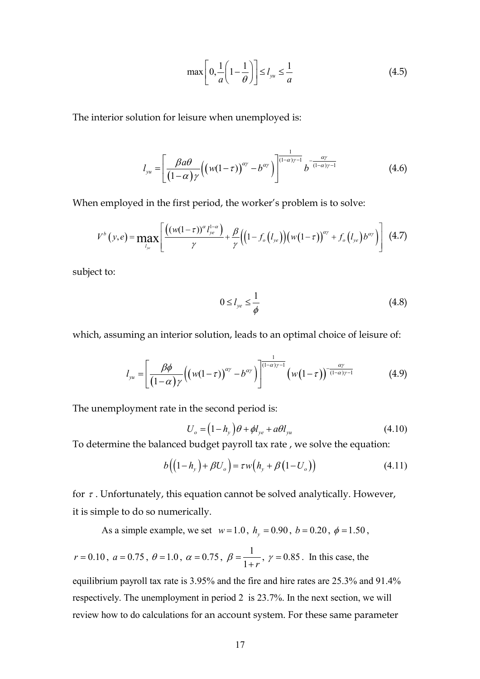$$
\max\left[0,\frac{1}{a}\left(1-\frac{1}{\theta}\right)\right] \le l_{yu} \le \frac{1}{a} \tag{4.5}
$$

The interior solution for leisure when unemployed is:

$$
l_{yu} = \left[ \frac{\beta a\theta}{(1-\alpha)\gamma} \Big( \big( w(1-\tau) \Big)^{\alpha\gamma} - b^{\alpha\gamma} \Big) \right]^{\frac{1}{(1-\alpha)\gamma-1}} b^{-\frac{\alpha\gamma}{(1-\alpha)\gamma-1}} \tag{4.6}
$$

When employed in the first period, the worker's problem is to solve:

$$
V^{b}(y,e)=\max_{l_{y_{e}}}\left[\frac{((w(1-\tau))^{\alpha}l_{y_{e}}^{1-\alpha})}{\gamma}+\frac{\beta}{\gamma}\Big((1-f_{o}(l_{y_{e}})\Big)(w(1-\tau))^{\alpha\gamma}+f_{o}(l_{y_{e}})b^{\alpha\gamma}\Big)\right] (4.7)
$$

subject to:

$$
0 \le l_{ye} \le \frac{1}{\phi} \tag{4.8}
$$

which, assuming an interior solution, leads to an optimal choice of leisure of:

$$
l_{yu} = \left[\frac{\beta\phi}{(1-\alpha)\gamma}\left((w(1-\tau))^{\alpha\gamma} - b^{\alpha\gamma}\right)\right]^{\frac{1}{(1-\alpha)\gamma-1}}\left(w(1-\tau)\right)^{-\frac{\alpha\gamma}{(1-\alpha)\gamma-1}}\tag{4.9}
$$

The unemployment rate in the second period is:

$$
U_o = (1 - h_y)\theta + \phi l_{ye} + a\theta l_{yu}
$$
\n(4.10)

To determine the balanced budget payroll tax rate , we solve the equation:

$$
b\left(\left(1-h_y\right)+\beta U_o\right)=\tau w\left(h_y+\beta\left(1-U_o\right)\right) \tag{4.11}
$$

for  $\tau$ . Unfortunately, this equation cannot be solved analytically. However, it is simple to do so numerically.

As a simple example, we set  $w=1.0$ ,  $h_y = 0.90$ ,  $b = 0.20$ ,  $\phi = 1.50$ ,

$$
r = 0.10
$$
,  $a = 0.75$ ,  $\theta = 1.0$ ,  $\alpha = 0.75$ ,  $\beta = \frac{1}{1+r}$ ,  $\gamma = 0.85$ . In this case, the

equilibrium payroll tax rate is 3.95% and the fire and hire rates are 25.3% and 91.4% respectively. The unemployment in period 2 is 23.7%. In the next section, we will review how to do calculations for an account system. For these same parameter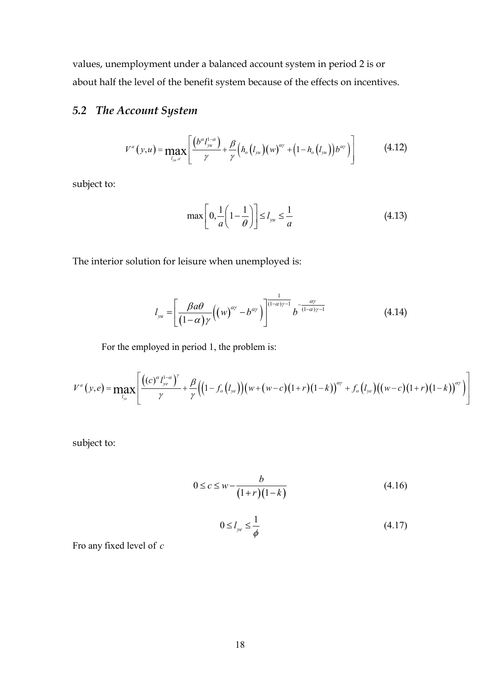values, unemployment under a balanced account system in period 2 is or about half the level of the benefit system because of the effects on incentives.

#### *5.2 The Account System*

$$
V^{a}(y, u) = \max_{l_{yu}, c} \left[ \frac{(b^{\alpha} l_{yu}^{1-\alpha})}{\gamma} + \frac{\beta}{\gamma} \left( h_{o}(l_{yu})(w)^{\alpha\gamma} + \left( 1 - h_{o}(l_{yu}) \right) b^{\alpha\gamma} \right) \right]
$$
(4.12)

subject to:

$$
\max\left[0,\frac{1}{a}\left(1-\frac{1}{\theta}\right)\right] \le l_{yu} \le \frac{1}{a} \tag{4.13}
$$

The interior solution for leisure when unemployed is:

$$
l_{yu} = \left[\frac{\beta a\theta}{(1-\alpha)\gamma} \left((w)^{\alpha\gamma} - b^{\alpha\gamma}\right)\right]^{\frac{1}{(1-\alpha)\gamma-1}} b^{-\frac{\alpha\gamma}{(1-\alpha)\gamma-1}} \tag{4.14}
$$

For the employed in period 1, the problem is:

$$
V^{a}(y,e) = \max_{l_{ye}} \left[ \frac{((c)^{\alpha} l_{ye}^{1-\alpha})^{\gamma}}{\gamma} + \frac{\beta}{\gamma} \Big( (1-f_o(l_{ye})) (w+(w-c)(1+r)(1-k))^{\alpha\gamma} + f_o(l_{ye}) ((w-c)(1+r)(1-k))^{\alpha\gamma} \Big) \right]
$$

subject to:

$$
0 \le c \le w - \frac{b}{(1+r)(1-k)}
$$
(4.16)

$$
0 \le l_{ye} \le \frac{1}{\phi} \tag{4.17}
$$

Fro any fixed level of *c*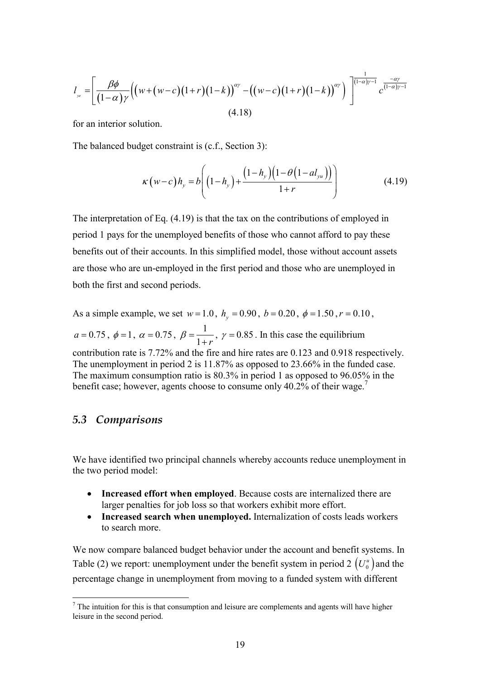$$
l_{y_e} = \left[ \frac{\beta \phi}{(1-\alpha)\gamma} \Big( \big(w + (w-c)(1+r)(1-k)\big)^{\alpha \gamma} - \big((w-c)(1+r)(1-k)\big)^{\alpha \gamma} \Big) \right]^{\frac{1}{(1-\alpha)\gamma - 1}} c^{\frac{-\alpha \gamma}{(1-\alpha)\gamma - 1}}
$$
(4.18)

for an interior solution.

The balanced budget constraint is (c.f., Section 3):

$$
\kappa(w-c)h_{y} = b\left((1-h_{y}) + \frac{(1-h_{y})(1-\theta(1-al_{yu}))}{1+r}\right)
$$
\n(4.19)

The interpretation of Eq. (4.19) is that the tax on the contributions of employed in period 1 pays for the unemployed benefits of those who cannot afford to pay these benefits out of their accounts. In this simplified model, those without account assets are those who are un-employed in the first period and those who are unemployed in both the first and second periods.

As a simple example, we set  $w=1.0$ ,  $h_y = 0.90$ ,  $b = 0.20$ ,  $\phi = 1.50$ ,  $r = 0.10$ ,  $a = 0.75$ ,  $\phi = 1$ ,  $\alpha = 0.75$ ,  $\beta = \frac{1}{1}$  $\beta = \frac{1}{1+r}$ ,  $\gamma = 0.85$ . In this case the equilibrium contribution rate is 7.72% and the fire and hire rates are 0.123 and 0.918 respectively. The unemployment in period 2 is 11.87% as opposed to 23.66% in the funded case. The maximum consumption ratio is 80.3% in period 1 as opposed to 96.05% in the benefit case; however, agents choose to consume only 40.2% of their wage.<sup>7</sup>

#### *5.3 Comparisons*

 $\overline{a}$ 

We have identified two principal channels whereby accounts reduce unemployment in the two period model:

- **Increased effort when employed**. Because costs are internalized there are larger penalties for job loss so that workers exhibit more effort.
- - **Increased search when unemployed.** Internalization of costs leads workers to search more.

We now compare balanced budget behavior under the account and benefit systems. In Table (2) we report: unemployment under the benefit system in period  $2 \left( U_0^u \right)$  and the percentage change in unemployment from moving to a funded system with different

 $<sup>7</sup>$  The intuition for this is that consumption and leisure are complements and agents will have higher</sup> leisure in the second period.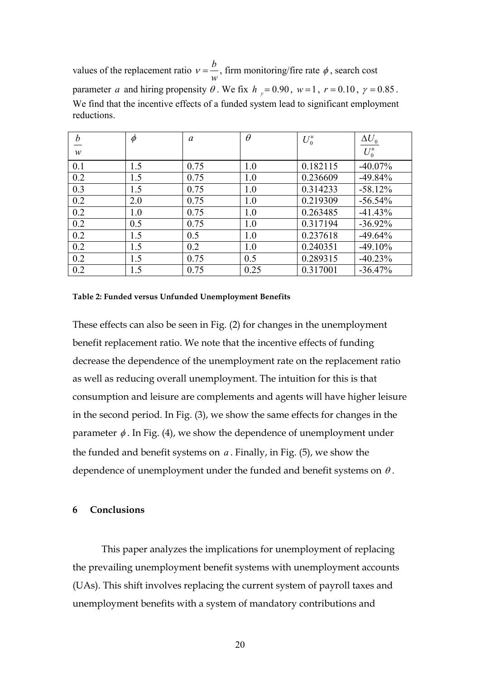values of the replacement ratio  $v = \frac{b}{a}$ *w*  $v = \frac{b}{c}$ , firm monitoring/fire rate  $\phi$ , search cost parameter *a* and hiring propensity  $\theta$ . We fix  $h_y = 0.90$ ,  $w = 1$ ,  $r = 0.10$ ,  $\gamma = 0.85$ . We find that the incentive effects of a funded system lead to significant employment reductions.

| $\boldsymbol{b}$ | $\phi$ | $\alpha$ | $\theta$ | $U_0^u$  | $\Delta U_0$ |
|------------------|--------|----------|----------|----------|--------------|
| $\boldsymbol{w}$ |        |          |          |          | $U_0^u$      |
| 0.1              | 1.5    | 0.75     | 1.0      | 0.182115 | $-40.07\%$   |
| 0.2              | 1.5    | 0.75     | 1.0      | 0.236609 | $-49.84%$    |
| 0.3              | 1.5    | 0.75     | 1.0      | 0.314233 | $-58.12%$    |
| 0.2              | 2.0    | 0.75     | 1.0      | 0.219309 | $-56.54%$    |
| 0.2              | 1.0    | 0.75     | 1.0      | 0.263485 | $-41.43%$    |
| 0.2              | 0.5    | 0.75     | 1.0      | 0.317194 | $-36.92\%$   |
| 0.2              | 1.5    | 0.5      | 1.0      | 0.237618 | $-49.64\%$   |
| 0.2              | 1.5    | 0.2      | 1.0      | 0.240351 | $-49.10%$    |
| 0.2              | 1.5    | 0.75     | 0.5      | 0.289315 | $-40.23%$    |
| 0.2              | 1.5    | 0.75     | 0.25     | 0.317001 | $-36.47%$    |

#### **Table 2: Funded versus Unfunded Unemployment Benefits**

These effects can also be seen in Fig. (2) for changes in the unemployment benefit replacement ratio. We note that the incentive effects of funding decrease the dependence of the unemployment rate on the replacement ratio as well as reducing overall unemployment. The intuition for this is that consumption and leisure are complements and agents will have higher leisure in the second period. In Fig. (3), we show the same effects for changes in the parameter  $\phi$ . In Fig. (4), we show the dependence of unemployment under the funded and benefit systems on *a* . Finally, in Fig. (5), we show the dependence of unemployment under the funded and benefit systems on  $\theta$ .

#### **6 Conclusions**

This paper analyzes the implications for unemployment of replacing the prevailing unemployment benefit systems with unemployment accounts (UAs). This shift involves replacing the current system of payroll taxes and unemployment benefits with a system of mandatory contributions and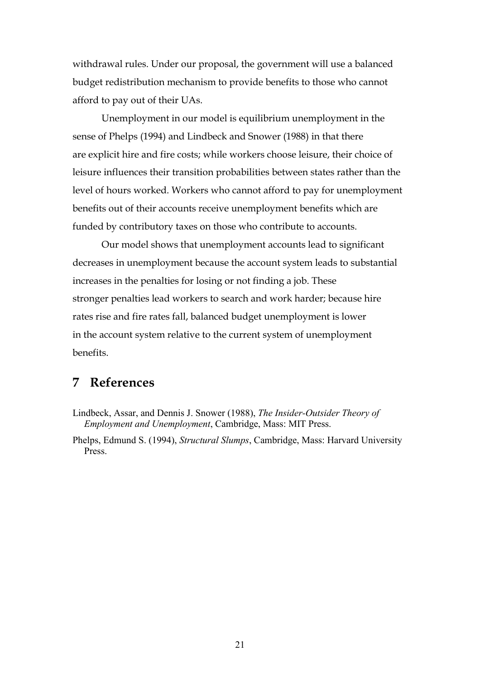withdrawal rules. Under our proposal, the government will use a balanced budget redistribution mechanism to provide benefits to those who cannot afford to pay out of their UAs.

Unemployment in our model is equilibrium unemployment in the sense of Phelps (1994) and Lindbeck and Snower (1988) in that there are explicit hire and fire costs; while workers choose leisure, their choice of leisure influences their transition probabilities between states rather than the level of hours worked. Workers who cannot afford to pay for unemployment benefits out of their accounts receive unemployment benefits which are funded by contributory taxes on those who contribute to accounts.

Our model shows that unemployment accounts lead to significant decreases in unemployment because the account system leads to substantial increases in the penalties for losing or not finding a job. These stronger penalties lead workers to search and work harder; because hire rates rise and fire rates fall, balanced budget unemployment is lower in the account system relative to the current system of unemployment benefits.

#### **7 References**

Lindbeck, Assar, and Dennis J. Snower (1988), *The Insider-Outsider Theory of Employment and Unemployment*, Cambridge, Mass: MIT Press.

Phelps, Edmund S. (1994), *Structural Slumps*, Cambridge, Mass: Harvard University Press.